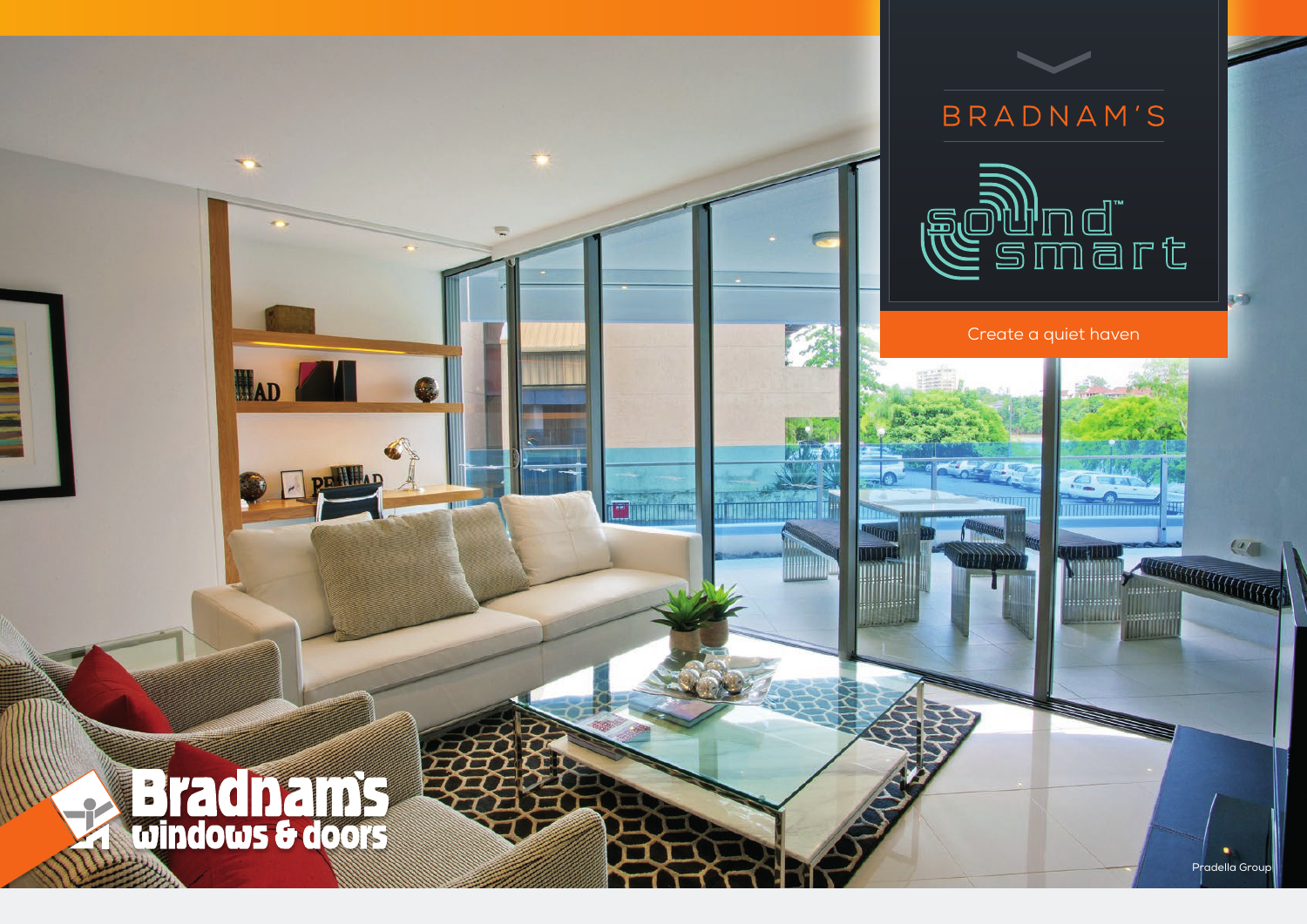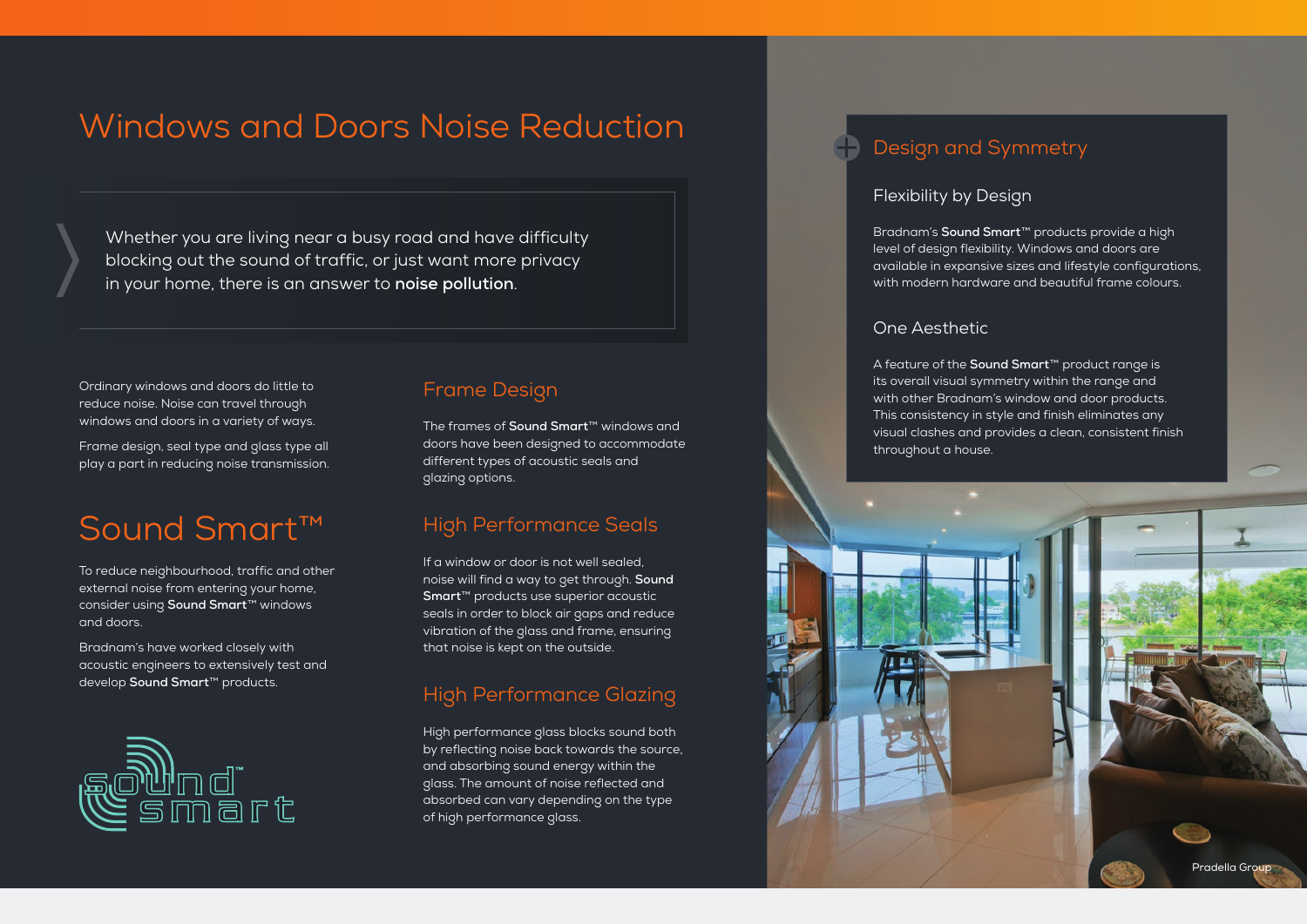# Windows and Doors Noise Reduction

Whether you are living near a busy road and have difficulty blocking out the sound of traffic, or just want more privacy in your home, there is an answer to **noise pollution**.

Ordinary windows and doors do little to reduce noise. Noise can travel through windows and doors in a variety of ways.

Frame design, seal type and glass type all play a part in reducing noise transmission.

# Sound Smart™

To reduce neighbourhood, traffic and other external noise from entering your home, consider using **Sound Smart**™ windows and doors.

Bradnam's have worked closely with acoustic engineers to extensively test and develop **Sound Smart**™ products.



### Frame Design

The frames of **Sound Smart**™ windows and doors have been designed to accommodate different types of acoustic seals and glazing options.

### High Performance Seals

If a window or door is not well sealed, noise will find a way to get through. **Sound Smart**™ products use superior acoustic seals in order to block air gaps and reduce vibration of the glass and frame, ensuring that noise is kept on the outside.

## High Performance Glazing

High performance glass blocks sound both by reflecting noise back towards the source, and absorbing sound energy within the glass. The amount of noise reflected and absorbed can vary depending on the type of high performance glass.

## Design and Symmetry

### Flexibility by Design

Bradnam's **Sound Smart**™ products provide a high level of design flexibility. Windows and doors are available in expansive sizes and lifestyle configurations, with modern hardware and beautiful frame colours.

### One Aesthetic

A feature of the **Sound Smart**™ product range is its overall visual symmetry within the range and with other Bradnam's window and door products. This consistency in style and finish eliminates any visual clashes and provides a clean, consistent finish throughout a house.

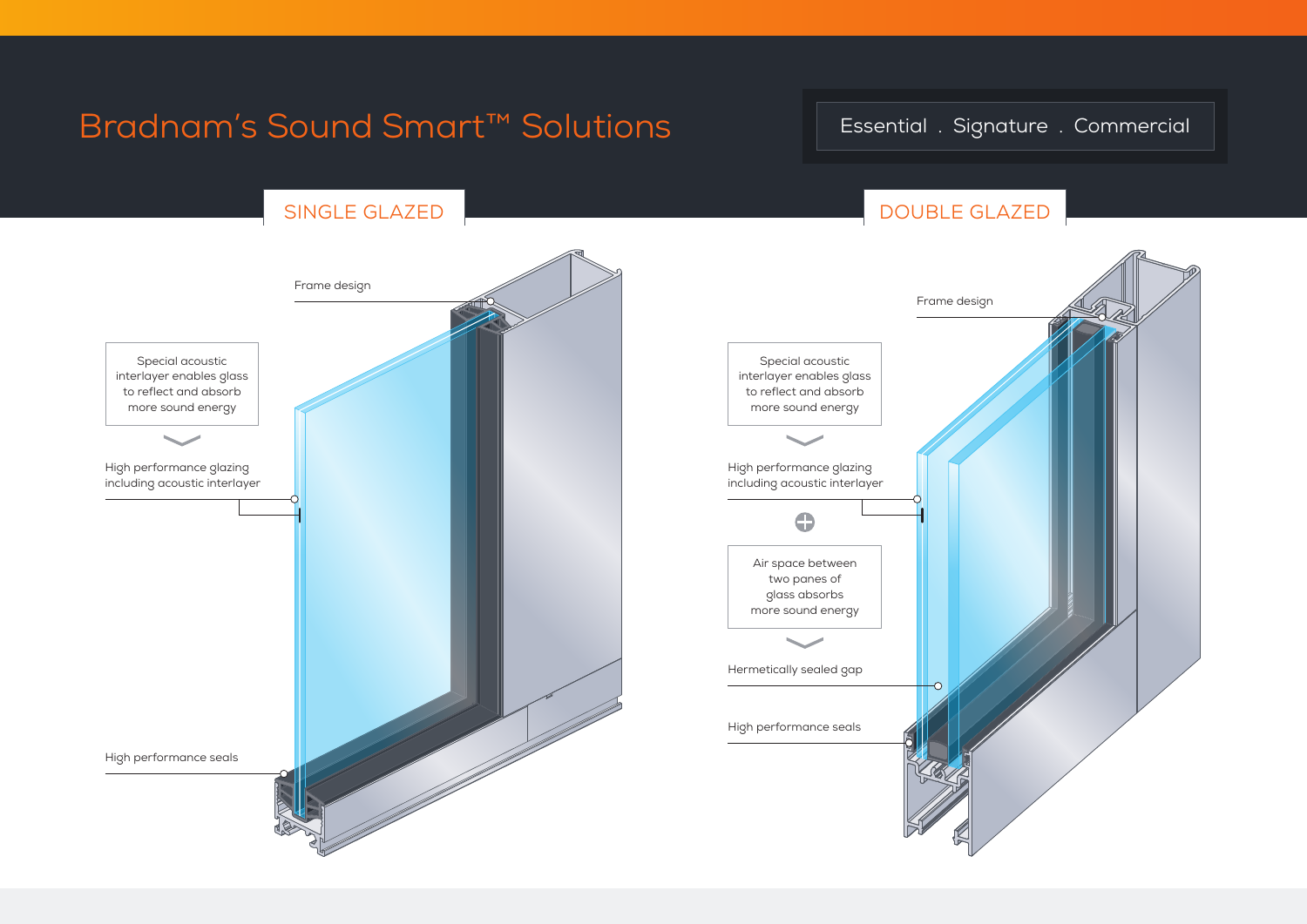